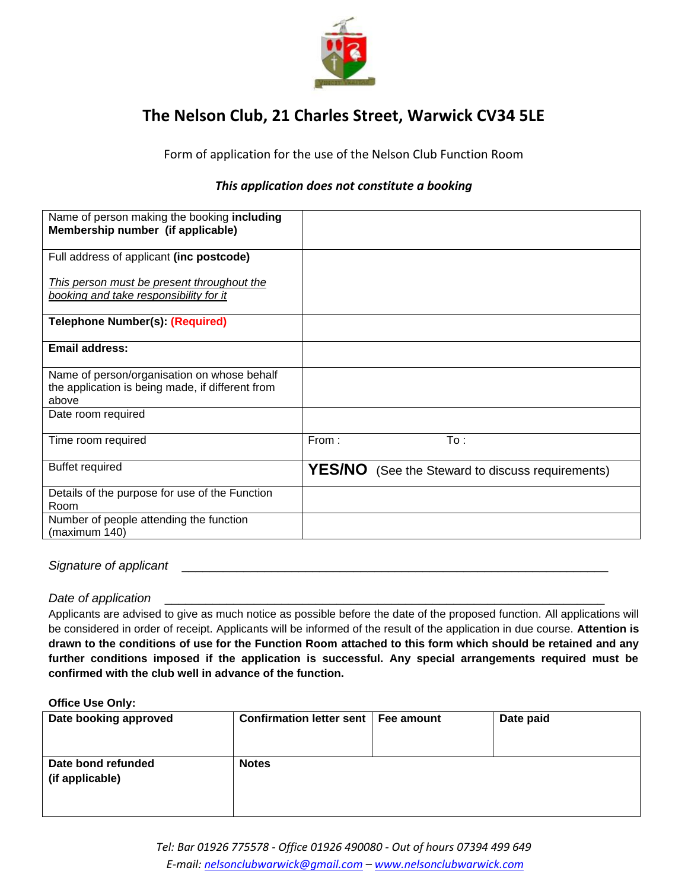

# **The Nelson Club, 21 Charles Street, Warwick CV34 5LE**

Form of application for the use of the Nelson Club Function Room

# *This application does not constitute a booking*

| Name of person making the booking including<br>Membership number (if applicable)                         |       |                                                         |
|----------------------------------------------------------------------------------------------------------|-------|---------------------------------------------------------|
| Full address of applicant (inc postcode)                                                                 |       |                                                         |
| This person must be present throughout the<br>booking and take responsibility for it                     |       |                                                         |
| <b>Telephone Number(s): (Required)</b>                                                                   |       |                                                         |
| <b>Email address:</b>                                                                                    |       |                                                         |
| Name of person/organisation on whose behalf<br>the application is being made, if different from<br>above |       |                                                         |
| Date room required                                                                                       |       |                                                         |
| Time room required                                                                                       | From: | To:                                                     |
| <b>Buffet required</b>                                                                                   |       | <b>YES/NO</b> (See the Steward to discuss requirements) |
| Details of the purpose for use of the Function<br>Room                                                   |       |                                                         |
| Number of people attending the function<br>(maximum 140)                                                 |       |                                                         |

#### Signature of applicant

## *Date of application*

Applicants are advised to give as much notice as possible before the date of the proposed function. All applications will be considered in order of receipt. Applicants will be informed of the result of the application in due course. **Attention is drawn to the conditions of use for the Function Room attached to this form which should be retained and any further conditions imposed if the application is successful. Any special arrangements required must be confirmed with the club well in advance of the function.**

#### **Office Use Only:**

| Date booking approved                 | Confirmation letter sent   Fee amount | Date paid |
|---------------------------------------|---------------------------------------|-----------|
| Date bond refunded<br>(if applicable) | <b>Notes</b>                          |           |